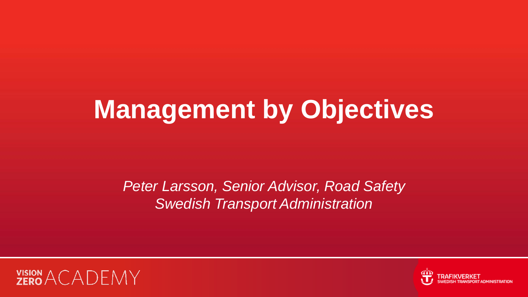# **Management by Objectives**

*Peter Larsson, Senior Advisor, Road Safety Swedish Transport Administration*



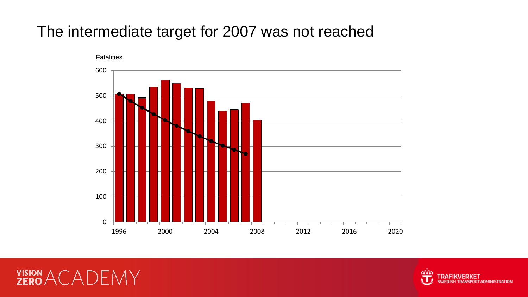#### The intermediate target for 2007 was not reached



dis **SPORT ADMINISTRATION** 

#### **VISION ACADEMY**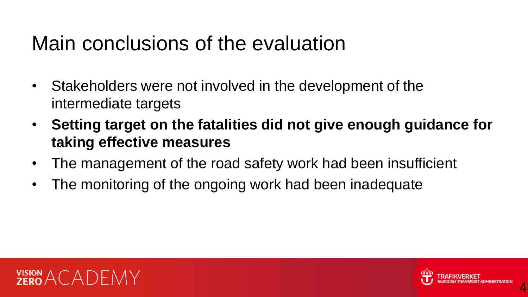## Main conclusions of the evaluation

- Stakeholders were not involved in the development of the intermediate targets
- **Setting target on the fatalities did not give enough guidance for taking effective measures**
- The management of the road safety work had been insufficient
- The monitoring of the ongoing work had been inadequate



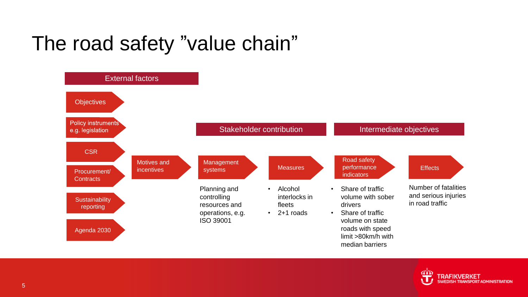# The road safety "value chain"



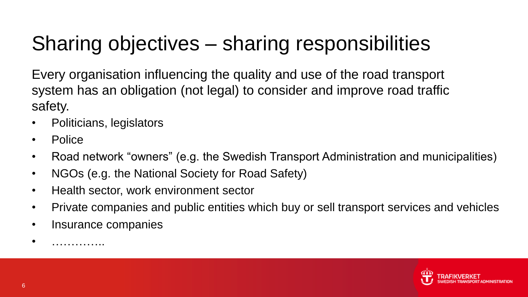# Sharing objectives – sharing responsibilities

Every organisation influencing the quality and use of the road transport system has an obligation (not legal) to consider and improve road traffic safety.

- Politicians, legislators
- Police
- Road network "owners" (e.g. the Swedish Transport Administration and municipalities)
- NGOs (e.g. the National Society for Road Safety)
- Health sector, work environment sector
- Private companies and public entities which buy or sell transport services and vehicles
- Insurance companies

• …………..

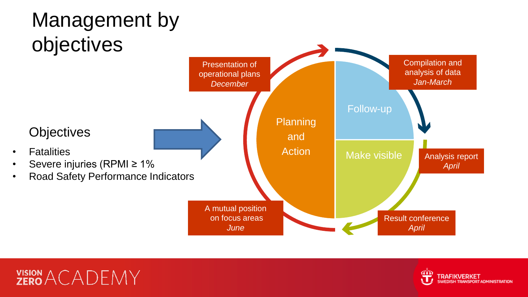



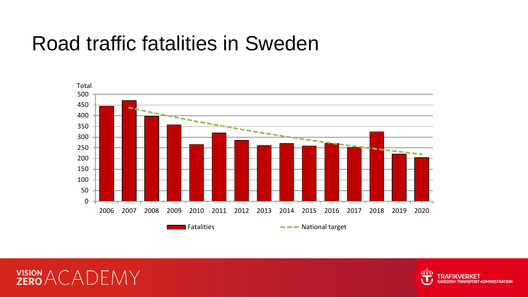### Road traffic fatalities in Sweden





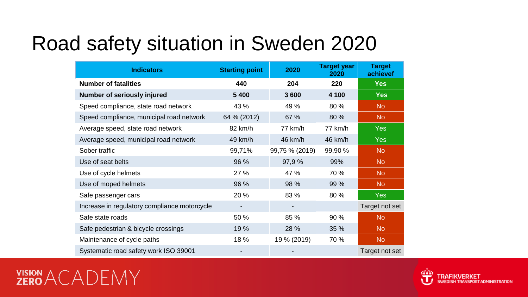# Road safety situation in Sweden 2020

| <b>Indicators</b>                            | <b>Starting point</b> | 2020           | <b>Target year</b><br>2020 | <b>Target</b><br>achievef |
|----------------------------------------------|-----------------------|----------------|----------------------------|---------------------------|
| <b>Number of fatalities</b>                  | 440                   | 204            | 220                        | <b>Yes</b>                |
| Number of seriously injured                  | 5 4 0 0               | 3600           | 4 100                      | <b>Yes</b>                |
| Speed compliance, state road network         | 43 %                  | 49 %           | 80 %                       | N <sub>o</sub>            |
| Speed compliance, municipal road network     | 64 % (2012)           | 67 %           | 80 %                       | N <sub>o</sub>            |
| Average speed, state road network            | 82 km/h               | 77 km/h        | 77 km/h                    | <b>Yes</b>                |
| Average speed, municipal road network        | 49 km/h               | 46 km/h        | 46 km/h                    | <b>Yes</b>                |
| Sober traffic                                | 99,71%                | 99,75 % (2019) | 99,90 %                    | N <sub>o</sub>            |
| Use of seat belts                            | 96 %                  | 97,9%          | 99%                        | N <sub>o</sub>            |
| Use of cycle helmets                         | 27 %                  | 47 %           | 70 %                       | N <sub>o</sub>            |
| Use of moped helmets                         | 96 %                  | 98 %           | 99 %                       | N <sub>o</sub>            |
| Safe passenger cars                          | 20 %                  | 83 %           | 80 %                       | <b>Yes</b>                |
| Increase in regulatory compliance motorcycle | ۰                     | -              |                            | Target not set            |
| Safe state roads                             | 50 %                  | 85 %           | 90%                        | N <sub>o</sub>            |
| Safe pedestrian & bicycle crossings          | 19 %                  | 28 %           | 35 %                       | N <sub>o</sub>            |
| Maintenance of cycle paths                   | 18 %                  | 19 % (2019)    | 70 %                       | N <sub>o</sub>            |
| Systematic road safety work ISO 39001        |                       |                |                            | Target not set            |